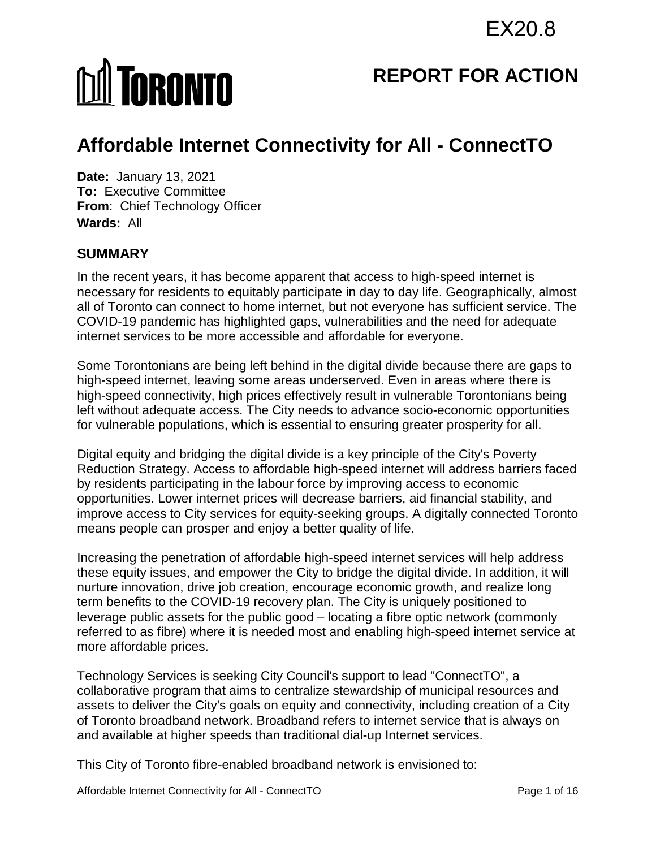# **MI TORONTO**

## **REPORT FOR ACTION**

# **Affordable Internet Connectivity for All - ConnectTO**

**Date:** January 13, 2021 **To:** Executive Committee **From**: Chief Technology Officer **Wards:** All

#### **SUMMARY**

In the recent years, it has become apparent that access to high-speed internet is necessary for residents to equitably participate in day to day life. Geographically, almost all of Toronto can connect to home internet, but not everyone has sufficient service. The COVID-19 pandemic has highlighted gaps, vulnerabilities and the need for adequate internet services to be more accessible and affordable for everyone.

Some Torontonians are being left behind in the digital divide because there are gaps to high-speed internet, leaving some areas underserved. Even in areas where there is high-speed connectivity, high prices effectively result in vulnerable Torontonians being left without adequate access. The City needs to advance socio-economic opportunities for vulnerable populations, which is essential to ensuring greater prosperity for all.

Digital equity and bridging the digital divide is a key principle of the City's Poverty Reduction Strategy. Access to affordable high-speed internet will address barriers faced by residents participating in the labour force by improving access to economic opportunities. Lower internet prices will decrease barriers, aid financial stability, and improve access to City services for equity-seeking groups. A digitally connected Toronto means people can prosper and enjoy a better quality of life.

Increasing the penetration of affordable high-speed internet services will help address these equity issues, and empower the City to bridge the digital divide. In addition, it will nurture innovation, drive job creation, encourage economic growth, and realize long term benefits to the COVID-19 recovery plan. The City is uniquely positioned to leverage public assets for the public good – locating a fibre optic network (commonly referred to as fibre) where it is needed most and enabling high-speed internet service at more affordable prices.

Technology Services is seeking City Council's support to lead "ConnectTO", a collaborative program that aims to centralize stewardship of municipal resources and assets to deliver the City's goals on equity and connectivity, including creation of a City of Toronto broadband network. Broadband refers to internet service that is always on and available at higher speeds than traditional dial-up Internet services.

This City of Toronto fibre-enabled broadband network is envisioned to: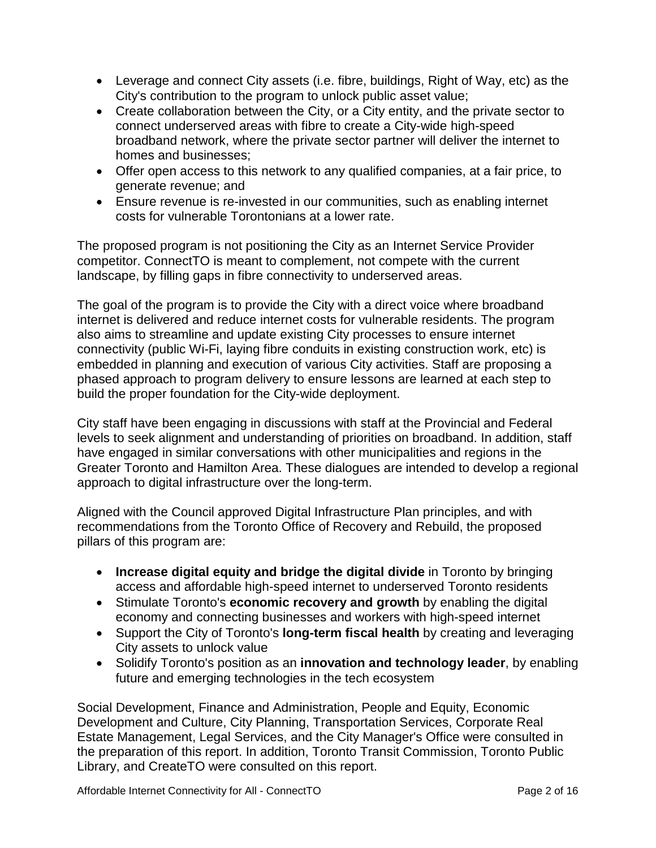- Leverage and connect City assets (i.e. fibre, buildings, Right of Way, etc) as the City's contribution to the program to unlock public asset value;
- Create collaboration between the City, or a City entity, and the private sector to connect underserved areas with fibre to create a City-wide high-speed broadband network, where the private sector partner will deliver the internet to homes and businesses;
- Offer open access to this network to any qualified companies, at a fair price, to generate revenue; and
- Ensure revenue is re-invested in our communities, such as enabling internet costs for vulnerable Torontonians at a lower rate.

The proposed program is not positioning the City as an Internet Service Provider competitor. ConnectTO is meant to complement, not compete with the current landscape, by filling gaps in fibre connectivity to underserved areas.

The goal of the program is to provide the City with a direct voice where broadband internet is delivered and reduce internet costs for vulnerable residents. The program also aims to streamline and update existing City processes to ensure internet connectivity (public Wi-Fi, laying fibre conduits in existing construction work, etc) is embedded in planning and execution of various City activities. Staff are proposing a phased approach to program delivery to ensure lessons are learned at each step to build the proper foundation for the City-wide deployment.

City staff have been engaging in discussions with staff at the Provincial and Federal levels to seek alignment and understanding of priorities on broadband. In addition, staff have engaged in similar conversations with other municipalities and regions in the Greater Toronto and Hamilton Area. These dialogues are intended to develop a regional approach to digital infrastructure over the long-term.

Aligned with the Council approved Digital Infrastructure Plan principles, and with recommendations from the Toronto Office of Recovery and Rebuild, the proposed pillars of this program are:

- **Increase digital equity and bridge the digital divide** in Toronto by bringing access and affordable high-speed internet to underserved Toronto residents
- Stimulate Toronto's **economic recovery and growth** by enabling the digital economy and connecting businesses and workers with high-speed internet
- Support the City of Toronto's **long-term fiscal health** by creating and leveraging City assets to unlock value
- Solidify Toronto's position as an **innovation and technology leader**, by enabling future and emerging technologies in the tech ecosystem

Social Development, Finance and Administration, People and Equity, Economic Development and Culture, City Planning, Transportation Services, Corporate Real Estate Management, Legal Services, and the City Manager's Office were consulted in the preparation of this report. In addition, Toronto Transit Commission, Toronto Public Library, and CreateTO were consulted on this report.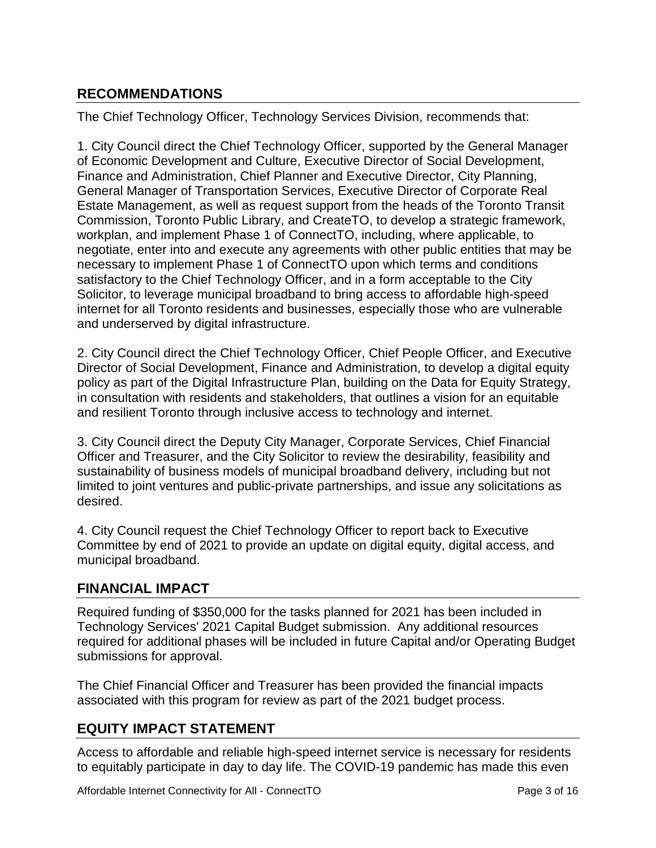## **RECOMMENDATIONS**

The Chief Technology Officer, Technology Services Division, recommends that:

1. City Council direct the Chief Technology Officer, supported by the General Manager of Economic Development and Culture, Executive Director of Social Development, Finance and Administration, Chief Planner and Executive Director, City Planning, General Manager of Transportation Services, Executive Director of Corporate Real Estate Management, as well as request support from the heads of the Toronto Transit Commission, Toronto Public Library, and CreateTO, to develop a strategic framework, workplan, and implement Phase 1 of ConnectTO, including, where applicable, to negotiate, enter into and execute any agreements with other public entities that may be necessary to implement Phase 1 of ConnectTO upon which terms and conditions satisfactory to the Chief Technology Officer, and in a form acceptable to the City Solicitor, to leverage municipal broadband to bring access to affordable high-speed internet for all Toronto residents and businesses, especially those who are vulnerable and underserved by digital infrastructure.

2. City Council direct the Chief Technology Officer, Chief People Officer, and Executive Director of Social Development, Finance and Administration, to develop a digital equity policy as part of the Digital Infrastructure Plan, building on the Data for Equity Strategy, in consultation with residents and stakeholders, that outlines a vision for an equitable and resilient Toronto through inclusive access to technology and internet.

3. City Council direct the Deputy City Manager, Corporate Services, Chief Financial Officer and Treasurer, and the City Solicitor to review the desirability, feasibility and sustainability of business models of municipal broadband delivery, including but not limited to joint ventures and public-private partnerships, and issue any solicitations as desired.

4. City Council request the Chief Technology Officer to report back to Executive Committee by end of 2021 to provide an update on digital equity, digital access, and municipal broadband.

#### **FINANCIAL IMPACT**

Required funding of \$350,000 for the tasks planned for 2021 has been included in Technology Services' 2021 Capital Budget submission. Any additional resources required for additional phases will be included in future Capital and/or Operating Budget submissions for approval.

The Chief Financial Officer and Treasurer has been provided the financial impacts associated with this program for review as part of the 2021 budget process.

## **EQUITY IMPACT STATEMENT**

Access to affordable and reliable high-speed internet service is necessary for residents to equitably participate in day to day life. The COVID-19 pandemic has made this even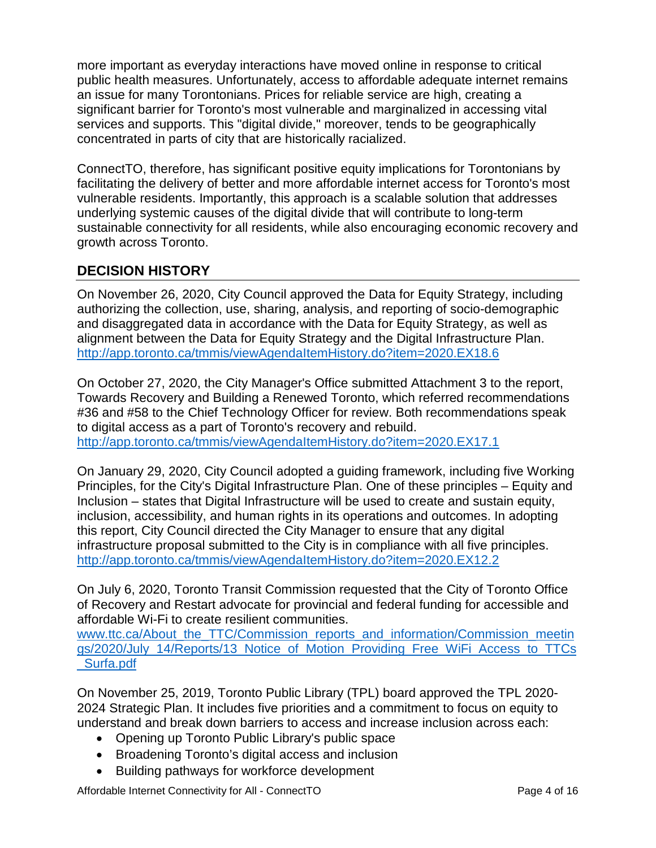more important as everyday interactions have moved online in response to critical public health measures. Unfortunately, access to affordable adequate internet remains an issue for many Torontonians. Prices for reliable service are high, creating a significant barrier for Toronto's most vulnerable and marginalized in accessing vital services and supports. This "digital divide," moreover, tends to be geographically concentrated in parts of city that are historically racialized.

ConnectTO, therefore, has significant positive equity implications for Torontonians by facilitating the delivery of better and more affordable internet access for Toronto's most vulnerable residents. Importantly, this approach is a scalable solution that addresses underlying systemic causes of the digital divide that will contribute to long-term sustainable connectivity for all residents, while also encouraging economic recovery and growth across Toronto.

#### **DECISION HISTORY**

On November 26, 2020, City Council approved the Data for Equity Strategy, including authorizing the collection, use, sharing, analysis, and reporting of socio-demographic and disaggregated data in accordance with the Data for Equity Strategy, as well as alignment between the Data for Equity Strategy and the Digital Infrastructure Plan. <http://app.toronto.ca/tmmis/viewAgendaItemHistory.do?item=2020.EX18.6>

On October 27, 2020, the City Manager's Office submitted Attachment 3 to the report, Towards Recovery and Building a Renewed Toronto, which referred recommendations #36 and #58 to the Chief Technology Officer for review. Both recommendations speak to digital access as a part of Toronto's recovery and rebuild. <http://app.toronto.ca/tmmis/viewAgendaItemHistory.do?item=2020.EX17.1>

On January 29, 2020, City Council adopted a guiding framework, including five Working Principles, for the City's Digital Infrastructure Plan. One of these principles – Equity and Inclusion – states that Digital Infrastructure will be used to create and sustain equity, inclusion, accessibility, and human rights in its operations and outcomes. In adopting this report, City Council directed the City Manager to ensure that any digital infrastructure proposal submitted to the City is in compliance with all five principles. <http://app.toronto.ca/tmmis/viewAgendaItemHistory.do?item=2020.EX12.2>

On July 6, 2020, Toronto Transit Commission requested that the City of Toronto Office of Recovery and Restart advocate for provincial and federal funding for accessible and affordable Wi-Fi to create resilient communities.

[www.ttc.ca/About\\_the\\_TTC/Commission\\_reports\\_and\\_information/Commission\\_meetin](http://www.ttc.ca/About_the_TTC/Commission_reports_and_information/Commission_meetings/2020/July_14/Reports/13_Notice_of_Motion_Providing_Free_WiFi_Access_to_TTCs_Surfa.pdf) [gs/2020/July\\_14/Reports/13\\_Notice\\_of\\_Motion\\_Providing\\_Free\\_WiFi\\_Access\\_to\\_TTCs](http://www.ttc.ca/About_the_TTC/Commission_reports_and_information/Commission_meetings/2020/July_14/Reports/13_Notice_of_Motion_Providing_Free_WiFi_Access_to_TTCs_Surfa.pdf) [\\_Surfa.pdf](http://www.ttc.ca/About_the_TTC/Commission_reports_and_information/Commission_meetings/2020/July_14/Reports/13_Notice_of_Motion_Providing_Free_WiFi_Access_to_TTCs_Surfa.pdf)

On November 25, 2019, Toronto Public Library (TPL) board approved the TPL 2020- 2024 Strategic Plan. It includes five priorities and a commitment to focus on equity to understand and break down barriers to access and increase inclusion across each:

- Opening up Toronto Public Library's public space
- Broadening Toronto's digital access and inclusion
- Building pathways for workforce development

Affordable Internet Connectivity for All - ConnectTO Page 4 of 16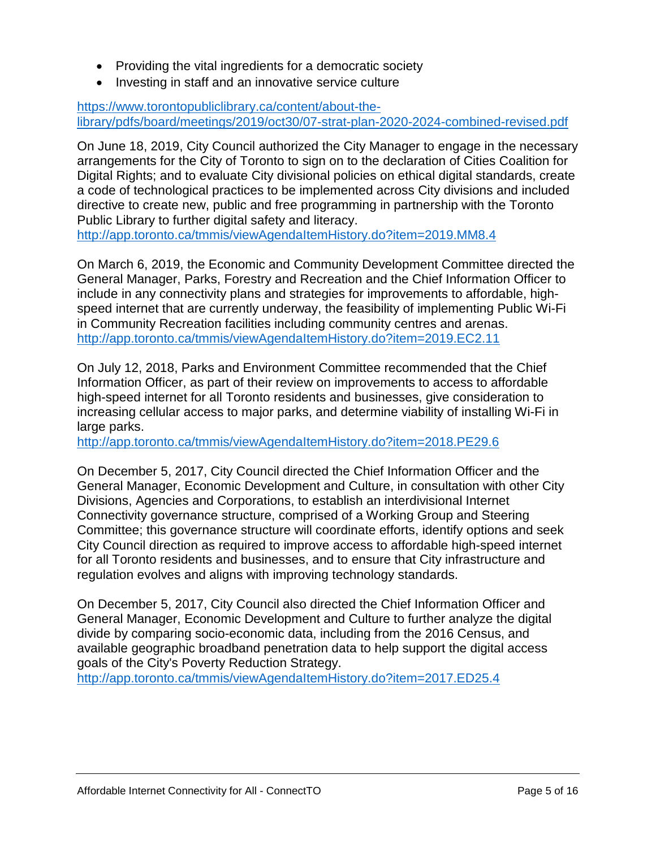- Providing the vital ingredients for a democratic society
- Investing in staff and an innovative service culture

[https://www.torontopubliclibrary.ca/content/about-the](https://www.torontopubliclibrary.ca/content/about-the-library/pdfs/board/meetings/2019/oct30/07-strat-plan-2020-2024-combined-revised.pdf)[library/pdfs/board/meetings/2019/oct30/07-strat-plan-2020-2024-combined-revised.pdf](https://www.torontopubliclibrary.ca/content/about-the-library/pdfs/board/meetings/2019/oct30/07-strat-plan-2020-2024-combined-revised.pdf)

On June 18, 2019, City Council authorized the City Manager to engage in the necessary arrangements for the City of Toronto to sign on to the declaration of Cities Coalition for Digital Rights; and to evaluate City divisional policies on ethical digital standards, create a code of technological practices to be implemented across City divisions and included directive to create new, public and free programming in partnership with the Toronto Public Library to further digital safety and literacy.

<http://app.toronto.ca/tmmis/viewAgendaItemHistory.do?item=2019.MM8.4>

On March 6, 2019, the Economic and Community Development Committee directed the General Manager, Parks, Forestry and Recreation and the Chief Information Officer to include in any connectivity plans and strategies for improvements to affordable, highspeed internet that are currently underway, the feasibility of implementing Public Wi-Fi in Community Recreation facilities including community centres and arenas. <http://app.toronto.ca/tmmis/viewAgendaItemHistory.do?item=2019.EC2.11>

On July 12, 2018, Parks and Environment Committee recommended that the Chief Information Officer, as part of their review on improvements to access to affordable high-speed internet for all Toronto residents and businesses, give consideration to increasing cellular access to major parks, and determine viability of installing Wi-Fi in large parks.

<http://app.toronto.ca/tmmis/viewAgendaItemHistory.do?item=2018.PE29.6>

On December 5, 2017, City Council directed the Chief Information Officer and the General Manager, Economic Development and Culture, in consultation with other City Divisions, Agencies and Corporations, to establish an interdivisional Internet Connectivity governance structure, comprised of a Working Group and Steering Committee; this governance structure will coordinate efforts, identify options and seek City Council direction as required to improve access to affordable high-speed internet for all Toronto residents and businesses, and to ensure that City infrastructure and regulation evolves and aligns with improving technology standards.

On December 5, 2017, City Council also directed the Chief Information Officer and General Manager, Economic Development and Culture to further analyze the digital divide by comparing socio-economic data, including from the 2016 Census, and available geographic broadband penetration data to help support the digital access goals of the City's Poverty Reduction Strategy.

<http://app.toronto.ca/tmmis/viewAgendaItemHistory.do?item=2017.ED25.4>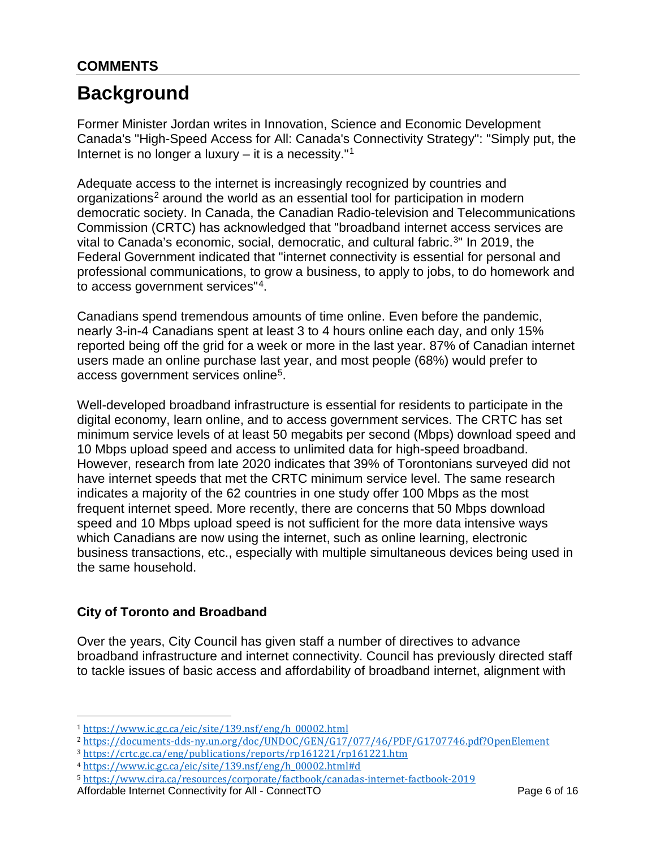## **COMMENTS**

# **Background**

Former Minister Jordan writes in Innovation, Science and Economic Development Canada's "High-Speed Access for All: Canada's Connectivity Strategy": "Simply put, the Internet is no longer a luxury – it is a necessity."<sup>[1](#page-5-0)</sup>

Adequate access to the internet is increasingly recognized by countries and organizations<sup>[2](#page-5-1)</sup> around the world as an essential tool for participation in modern democratic society. In Canada, the Canadian Radio-television and Telecommunications Commission (CRTC) has acknowledged that "broadband internet access services are vital to Canada's economic, social, democratic, and cultural fabric.<sup>3</sup>" In 2019, the Federal Government indicated that "internet connectivity is essential for personal and professional communications, to grow a business, to apply to jobs, to do homework and to access government services"[4](#page-5-3).

Canadians spend tremendous amounts of time online. Even before the pandemic, nearly 3-in-4 Canadians spent at least 3 to 4 hours online each day, and only 15% reported being off the grid for a week or more in the last year. 87% of Canadian internet users made an online purchase last year, and most people (68%) would prefer to access government services online<sup>5</sup>.

Well-developed broadband infrastructure is essential for residents to participate in the digital economy, learn online, and to access government services. The CRTC has set minimum service levels of at least 50 megabits per second (Mbps) download speed and 10 Mbps upload speed and access to unlimited data for high-speed broadband. However, research from late 2020 indicates that 39% of Torontonians surveyed did not have internet speeds that met the CRTC minimum service level. The same research indicates a majority of the 62 countries in one study offer 100 Mbps as the most frequent internet speed. More recently, there are concerns that 50 Mbps download speed and 10 Mbps upload speed is not sufficient for the more data intensive ways which Canadians are now using the internet, such as online learning, electronic business transactions, etc., especially with multiple simultaneous devices being used in the same household.

#### **City of Toronto and Broadband**

 $\overline{a}$ 

Over the years, City Council has given staff a number of directives to advance broadband infrastructure and internet connectivity. Council has previously directed staff to tackle issues of basic access and affordability of broadband internet, alignment with

<span id="page-5-0"></span><sup>1</sup> [https://www.ic.gc.ca/eic/site/139.nsf/eng/h\\_00002.html](https://www.ic.gc.ca/eic/site/139.nsf/eng/h_00002.html)

<span id="page-5-1"></span><sup>2</sup> <https://documents-dds-ny.un.org/doc/UNDOC/GEN/G17/077/46/PDF/G1707746.pdf?OpenElement>

<span id="page-5-2"></span><sup>3</sup> <https://crtc.gc.ca/eng/publications/reports/rp161221/rp161221.htm>

<span id="page-5-3"></span><sup>4</sup> [https://www.ic.gc.ca/eic/site/139.nsf/eng/h\\_00002.html#d](https://www.ic.gc.ca/eic/site/139.nsf/eng/h_00002.html#d)

<span id="page-5-4"></span><sup>5</sup> <https://www.cira.ca/resources/corporate/factbook/canadas-internet-factbook-2019>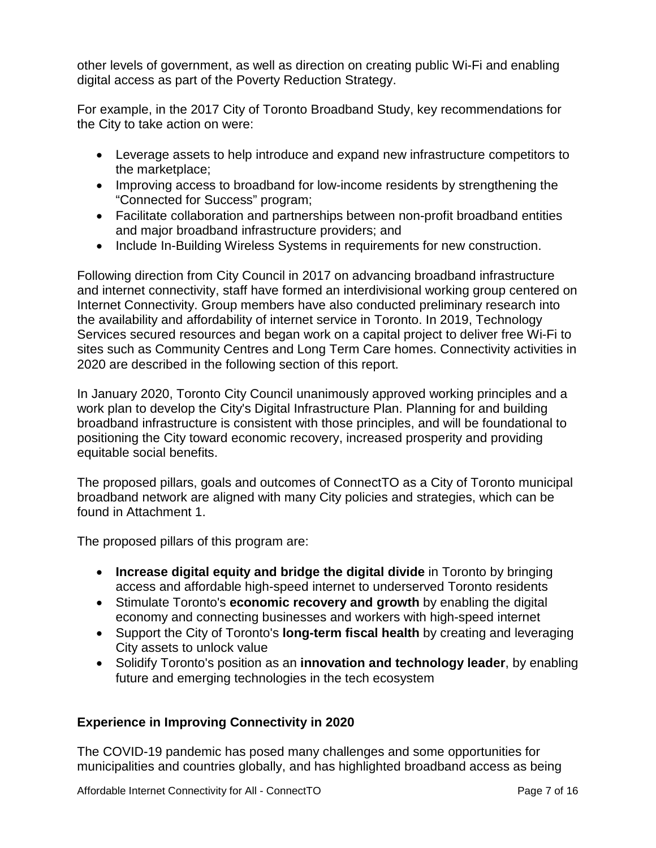other levels of government, as well as direction on creating public Wi-Fi and enabling digital access as part of the Poverty Reduction Strategy.

For example, in the 2017 City of Toronto Broadband Study, key recommendations for the City to take action on were:

- Leverage assets to help introduce and expand new infrastructure competitors to the marketplace;
- Improving access to broadband for low-income residents by strengthening the "Connected for Success" program;
- Facilitate collaboration and partnerships between non-profit broadband entities and major broadband infrastructure providers; and
- Include In-Building Wireless Systems in requirements for new construction.

Following direction from City Council in 2017 on advancing broadband infrastructure and internet connectivity, staff have formed an interdivisional working group centered on Internet Connectivity. Group members have also conducted preliminary research into the availability and affordability of internet service in Toronto. In 2019, Technology Services secured resources and began work on a capital project to deliver free Wi-Fi to sites such as Community Centres and Long Term Care homes. Connectivity activities in 2020 are described in the following section of this report.

In January 2020, Toronto City Council unanimously approved working principles and a work plan to develop the City's Digital Infrastructure Plan. Planning for and building broadband infrastructure is consistent with those principles, and will be foundational to positioning the City toward economic recovery, increased prosperity and providing equitable social benefits.

The proposed pillars, goals and outcomes of ConnectTO as a City of Toronto municipal broadband network are aligned with many City policies and strategies, which can be found in Attachment 1.

The proposed pillars of this program are:

- **Increase digital equity and bridge the digital divide** in Toronto by bringing access and affordable high-speed internet to underserved Toronto residents
- Stimulate Toronto's **economic recovery and growth** by enabling the digital economy and connecting businesses and workers with high-speed internet
- Support the City of Toronto's **long-term fiscal health** by creating and leveraging City assets to unlock value
- Solidify Toronto's position as an **innovation and technology leader**, by enabling future and emerging technologies in the tech ecosystem

#### **Experience in Improving Connectivity in 2020**

The COVID-19 pandemic has posed many challenges and some opportunities for municipalities and countries globally, and has highlighted broadband access as being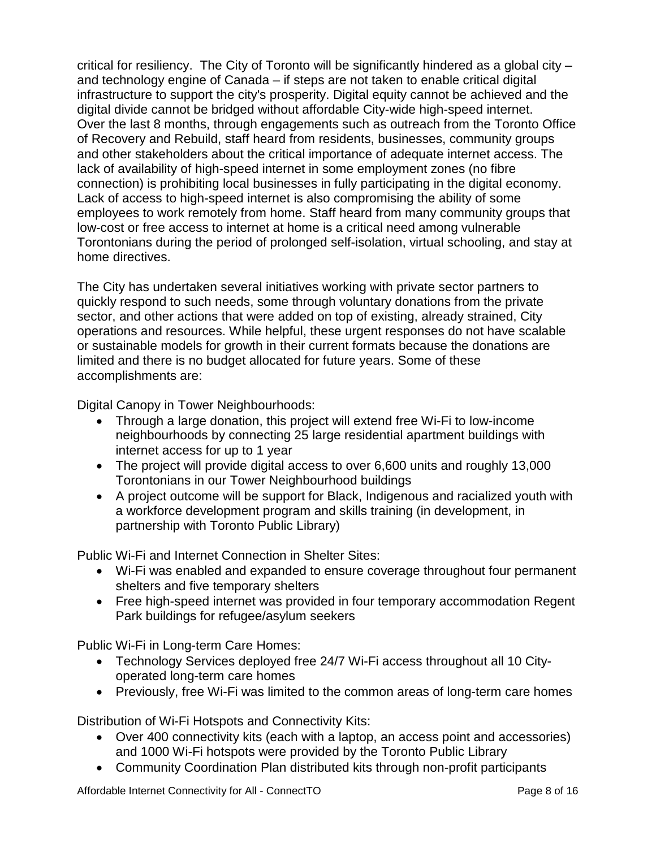critical for resiliency. The City of Toronto will be significantly hindered as a global city – and technology engine of Canada – if steps are not taken to enable critical digital infrastructure to support the city's prosperity. Digital equity cannot be achieved and the digital divide cannot be bridged without affordable City-wide high-speed internet. Over the last 8 months, through engagements such as outreach from the Toronto Office of Recovery and Rebuild, staff heard from residents, businesses, community groups and other stakeholders about the critical importance of adequate internet access. The lack of availability of high-speed internet in some employment zones (no fibre connection) is prohibiting local businesses in fully participating in the digital economy. Lack of access to high-speed internet is also compromising the ability of some employees to work remotely from home. Staff heard from many community groups that low-cost or free access to internet at home is a critical need among vulnerable Torontonians during the period of prolonged self-isolation, virtual schooling, and stay at home directives.

The City has undertaken several initiatives working with private sector partners to quickly respond to such needs, some through voluntary donations from the private sector, and other actions that were added on top of existing, already strained, City operations and resources. While helpful, these urgent responses do not have scalable or sustainable models for growth in their current formats because the donations are limited and there is no budget allocated for future years. Some of these accomplishments are:

Digital Canopy in Tower Neighbourhoods:

- Through a large donation, this project will extend free Wi-Fi to low-income neighbourhoods by connecting 25 large residential apartment buildings with internet access for up to 1 year
- The project will provide digital access to over 6,600 units and roughly 13,000 Torontonians in our Tower Neighbourhood buildings
- A project outcome will be support for Black, Indigenous and racialized youth with a workforce development program and skills training (in development, in partnership with Toronto Public Library)

Public Wi-Fi and Internet Connection in Shelter Sites:

- Wi-Fi was enabled and expanded to ensure coverage throughout four permanent shelters and five temporary shelters
- Free high-speed internet was provided in four temporary accommodation Regent Park buildings for refugee/asylum seekers

Public Wi-Fi in Long-term Care Homes:

- Technology Services deployed free 24/7 Wi-Fi access throughout all 10 Cityoperated long-term care homes
- Previously, free Wi-Fi was limited to the common areas of long-term care homes

Distribution of Wi-Fi Hotspots and Connectivity Kits:

- Over 400 connectivity kits (each with a laptop, an access point and accessories) and 1000 Wi-Fi hotspots were provided by the Toronto Public Library
- Community Coordination Plan distributed kits through non-profit participants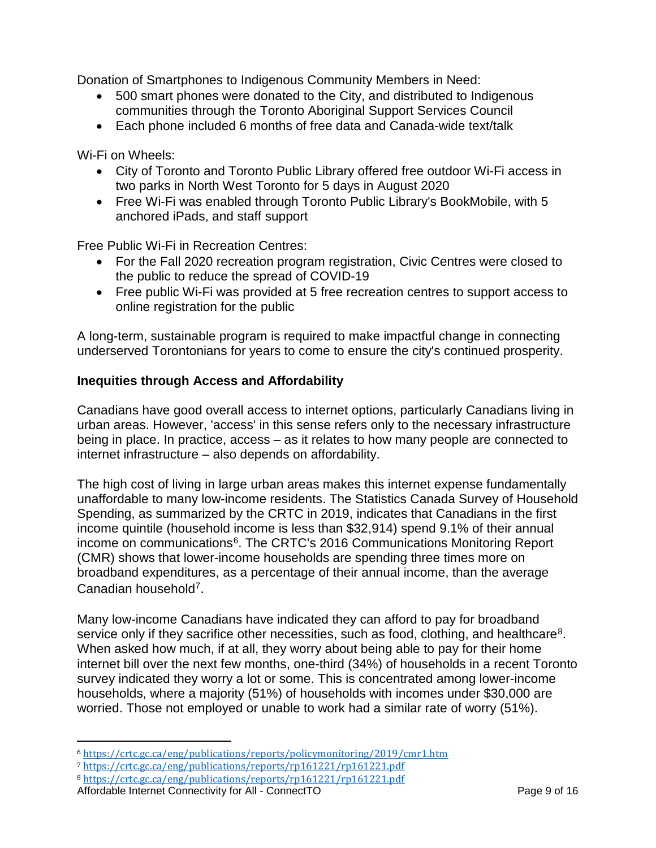Donation of Smartphones to Indigenous Community Members in Need:

- 500 smart phones were donated to the City, and distributed to Indigenous communities through the Toronto Aboriginal Support Services Council
- Each phone included 6 months of free data and Canada-wide text/talk

Wi-Fi on Wheels:

- City of Toronto and Toronto Public Library offered free outdoor Wi-Fi access in two parks in North West Toronto for 5 days in August 2020
- Free Wi-Fi was enabled through Toronto Public Library's BookMobile, with 5 anchored iPads, and staff support

Free Public Wi-Fi in Recreation Centres:

- For the Fall 2020 recreation program registration, Civic Centres were closed to the public to reduce the spread of COVID-19
- Free public Wi-Fi was provided at 5 free recreation centres to support access to online registration for the public

A long-term, sustainable program is required to make impactful change in connecting underserved Torontonians for years to come to ensure the city's continued prosperity.

#### **Inequities through Access and Affordability**

Canadians have good overall access to internet options, particularly Canadians living in urban areas. However, 'access' in this sense refers only to the necessary infrastructure being in place. In practice, access – as it relates to how many people are connected to internet infrastructure – also depends on affordability.

The high cost of living in large urban areas makes this internet expense fundamentally unaffordable to many low-income residents. The Statistics Canada Survey of Household Spending, as summarized by the CRTC in 2019, indicates that Canadians in the first income quintile (household income is less than \$32,914) spend 9.1% of their annual income on communications<sup>6</sup>. The CRTC's 2016 Communications Monitoring Report (CMR) shows that lower-income households are spending three times more on broadband expenditures, as a percentage of their annual income, than the average Canadian household[7](#page-8-1).

Many low-income Canadians have indicated they can afford to pay for broadband service only if they sacrifice other necessities, such as food, clothing, and healthcare<sup>[8](#page-8-2)</sup>. When asked how much, if at all, they worry about being able to pay for their home internet bill over the next few months, one-third (34%) of households in a recent Toronto survey indicated they worry a lot or some. This is concentrated among lower-income households, where a majority (51%) of households with incomes under \$30,000 are worried. Those not employed or unable to work had a similar rate of worry (51%).

<span id="page-8-0"></span> $\overline{a}$ <sup>6</sup> <https://crtc.gc.ca/eng/publications/reports/policymonitoring/2019/cmr1.htm>

<span id="page-8-1"></span><sup>7</sup> <https://crtc.gc.ca/eng/publications/reports/rp161221/rp161221.pdf>

<span id="page-8-2"></span><sup>8</sup> <https://crtc.gc.ca/eng/publications/reports/rp161221/rp161221.pdf>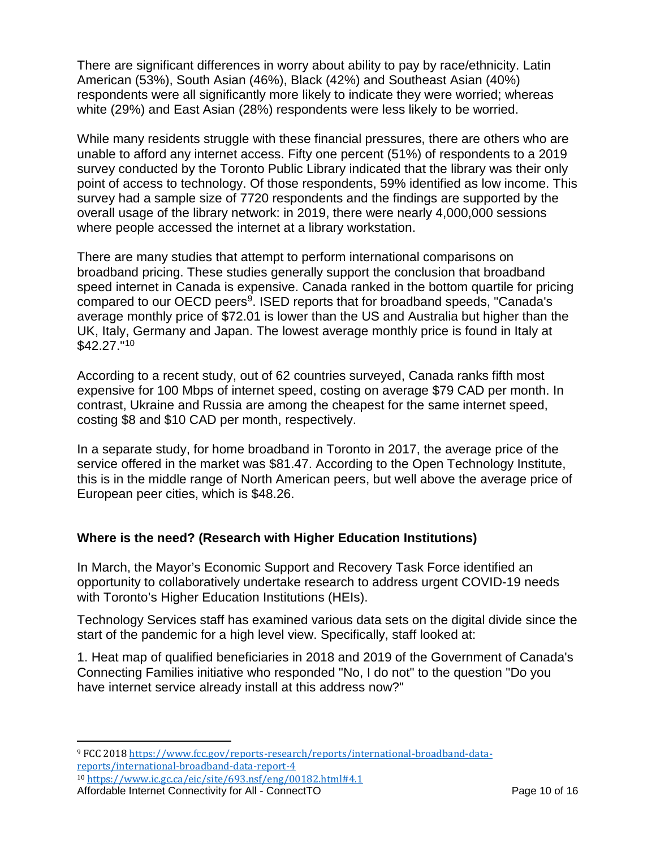There are significant differences in worry about ability to pay by race/ethnicity. Latin American (53%), South Asian (46%), Black (42%) and Southeast Asian (40%) respondents were all significantly more likely to indicate they were worried; whereas white (29%) and East Asian (28%) respondents were less likely to be worried.

While many residents struggle with these financial pressures, there are others who are unable to afford any internet access. Fifty one percent (51%) of respondents to a 2019 survey conducted by the Toronto Public Library indicated that the library was their only point of access to technology. Of those respondents, 59% identified as low income. This survey had a sample size of 7720 respondents and the findings are supported by the overall usage of the library network: in 2019, there were nearly 4,000,000 sessions where people accessed the internet at a library workstation.

There are many studies that attempt to perform international comparisons on broadband pricing. These studies generally support the conclusion that broadband speed internet in Canada is expensive. Canada ranked in the bottom quartile for pricing compared to our OECD peers<sup>9</sup>. ISED reports that for broadband speeds, "Canada's average monthly price of \$72.01 is lower than the US and Australia but higher than the UK, Italy, Germany and Japan. The lowest average monthly price is found in Italy at  $$42.27."10$  $$42.27."10$ 

According to a recent study, out of 62 countries surveyed, Canada ranks fifth most expensive for 100 Mbps of internet speed, costing on average \$79 CAD per month. In contrast, Ukraine and Russia are among the cheapest for the same internet speed, costing \$8 and \$10 CAD per month, respectively.

In a separate study, for home broadband in Toronto in 2017, the average price of the service offered in the market was \$81.47. According to the Open Technology Institute, this is in the middle range of North American peers, but well above the average price of European peer cities, which is \$48.26.

#### **Where is the need? (Research with Higher Education Institutions)**

In March, the Mayor's Economic Support and Recovery Task Force identified an opportunity to collaboratively undertake research to address urgent COVID-19 needs with Toronto's Higher Education Institutions (HEIs).

Technology Services staff has examined various data sets on the digital divide since the start of the pandemic for a high level view. Specifically, staff looked at:

1. Heat map of qualified beneficiaries in 2018 and 2019 of the Government of Canada's Connecting Families initiative who responded "No, I do not" to the question "Do you have internet service already install at this address now?"

<span id="page-9-0"></span> $\overline{a}$ <sup>9</sup> FCC 2018 [https://www.fcc.gov/reports-research/reports/international-broadband-data](https://www.fcc.gov/reports-research/reports/international-broadband-data-reports/international-broadband-data-report-4)[reports/international-broadband-data-report-4](https://www.fcc.gov/reports-research/reports/international-broadband-data-reports/international-broadband-data-report-4)

<span id="page-9-1"></span>Affordable Internet Connectivity for All - ConnectTO Page 10 of 16 <sup>10</sup> <https://www.ic.gc.ca/eic/site/693.nsf/eng/00182.html#4.1>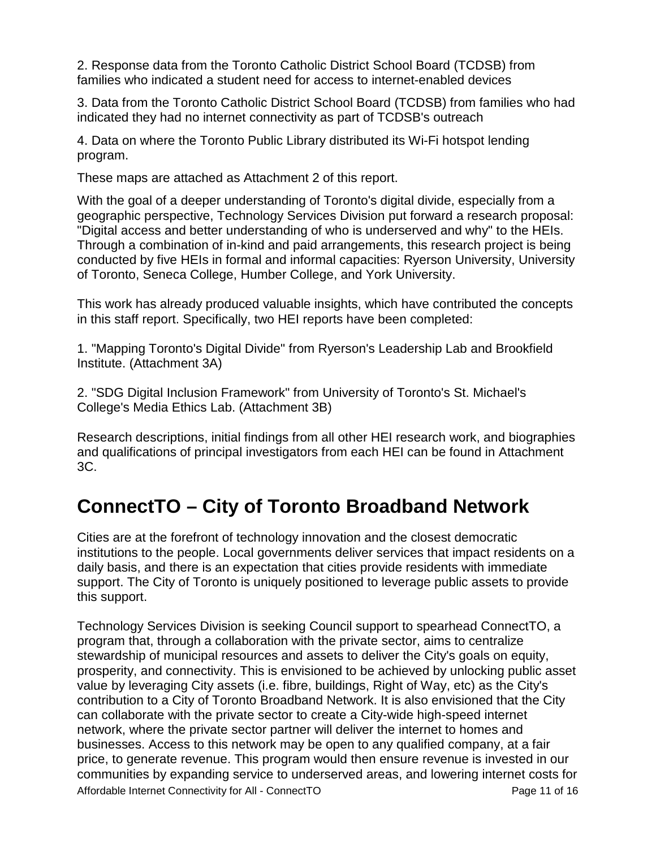2. Response data from the Toronto Catholic District School Board (TCDSB) from families who indicated a student need for access to internet-enabled devices

3. Data from the Toronto Catholic District School Board (TCDSB) from families who had indicated they had no internet connectivity as part of TCDSB's outreach

4. Data on where the Toronto Public Library distributed its Wi-Fi hotspot lending program.

These maps are attached as Attachment 2 of this report.

With the goal of a deeper understanding of Toronto's digital divide, especially from a geographic perspective, Technology Services Division put forward a research proposal: "Digital access and better understanding of who is underserved and why" to the HEIs. Through a combination of in-kind and paid arrangements, this research project is being conducted by five HEIs in formal and informal capacities: Ryerson University, University of Toronto, Seneca College, Humber College, and York University.

This work has already produced valuable insights, which have contributed the concepts in this staff report. Specifically, two HEI reports have been completed:

1. "Mapping Toronto's Digital Divide" from Ryerson's Leadership Lab and Brookfield Institute. (Attachment 3A)

2. "SDG Digital Inclusion Framework" from University of Toronto's St. Michael's College's Media Ethics Lab. (Attachment 3B)

Research descriptions, initial findings from all other HEI research work, and biographies and qualifications of principal investigators from each HEI can be found in Attachment 3C.

## **ConnectTO – City of Toronto Broadband Network**

Cities are at the forefront of technology innovation and the closest democratic institutions to the people. Local governments deliver services that impact residents on a daily basis, and there is an expectation that cities provide residents with immediate support. The City of Toronto is uniquely positioned to leverage public assets to provide this support.

Affordable Internet Connectivity for All - ConnectTO Page 11 of 16 Technology Services Division is seeking Council support to spearhead ConnectTO, a program that, through a collaboration with the private sector, aims to centralize stewardship of municipal resources and assets to deliver the City's goals on equity, prosperity, and connectivity. This is envisioned to be achieved by unlocking public asset value by leveraging City assets (i.e. fibre, buildings, Right of Way, etc) as the City's contribution to a City of Toronto Broadband Network. It is also envisioned that the City can collaborate with the private sector to create a City-wide high-speed internet network, where the private sector partner will deliver the internet to homes and businesses. Access to this network may be open to any qualified company, at a fair price, to generate revenue. This program would then ensure revenue is invested in our communities by expanding service to underserved areas, and lowering internet costs for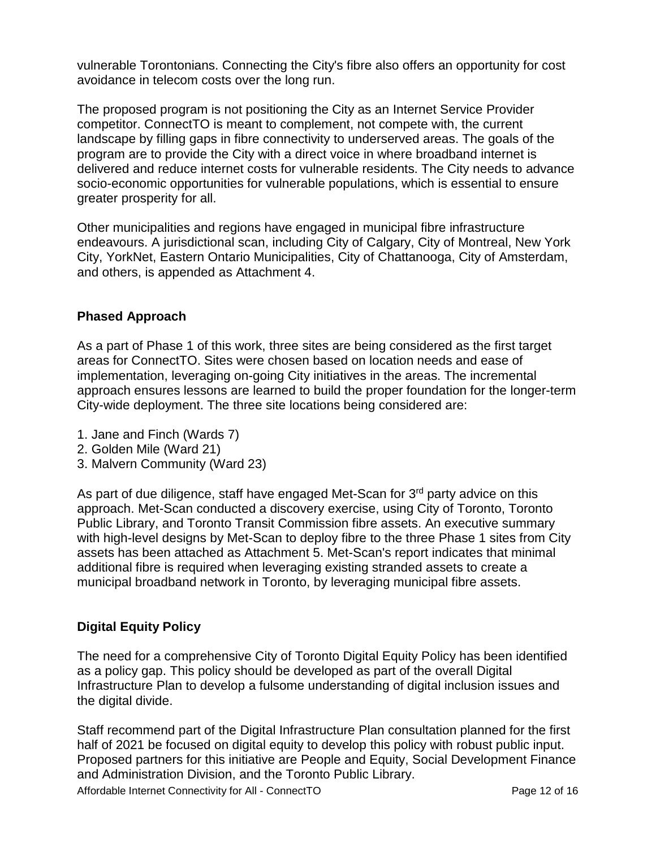vulnerable Torontonians. Connecting the City's fibre also offers an opportunity for cost avoidance in telecom costs over the long run.

The proposed program is not positioning the City as an Internet Service Provider competitor. ConnectTO is meant to complement, not compete with, the current landscape by filling gaps in fibre connectivity to underserved areas. The goals of the program are to provide the City with a direct voice in where broadband internet is delivered and reduce internet costs for vulnerable residents. The City needs to advance socio-economic opportunities for vulnerable populations, which is essential to ensure greater prosperity for all.

Other municipalities and regions have engaged in municipal fibre infrastructure endeavours. A jurisdictional scan, including City of Calgary, City of Montreal, New York City, YorkNet, Eastern Ontario Municipalities, City of Chattanooga, City of Amsterdam, and others, is appended as Attachment 4.

#### **Phased Approach**

As a part of Phase 1 of this work, three sites are being considered as the first target areas for ConnectTO. Sites were chosen based on location needs and ease of implementation, leveraging on-going City initiatives in the areas. The incremental approach ensures lessons are learned to build the proper foundation for the longer-term City-wide deployment. The three site locations being considered are:

- 1. Jane and Finch (Wards 7)
- 2. Golden Mile (Ward 21)
- 3. Malvern Community (Ward 23)

As part of due diligence, staff have engaged Met-Scan for  $3<sup>rd</sup>$  party advice on this approach. Met-Scan conducted a discovery exercise, using City of Toronto, Toronto Public Library, and Toronto Transit Commission fibre assets. An executive summary with high-level designs by Met-Scan to deploy fibre to the three Phase 1 sites from City assets has been attached as Attachment 5. Met-Scan's report indicates that minimal additional fibre is required when leveraging existing stranded assets to create a municipal broadband network in Toronto, by leveraging municipal fibre assets.

#### **Digital Equity Policy**

The need for a comprehensive City of Toronto Digital Equity Policy has been identified as a policy gap. This policy should be developed as part of the overall Digital Infrastructure Plan to develop a fulsome understanding of digital inclusion issues and the digital divide.

Staff recommend part of the Digital Infrastructure Plan consultation planned for the first half of 2021 be focused on digital equity to develop this policy with robust public input. Proposed partners for this initiative are People and Equity, Social Development Finance and Administration Division, and the Toronto Public Library.

Affordable Internet Connectivity for All - ConnectTO Page 12 of 16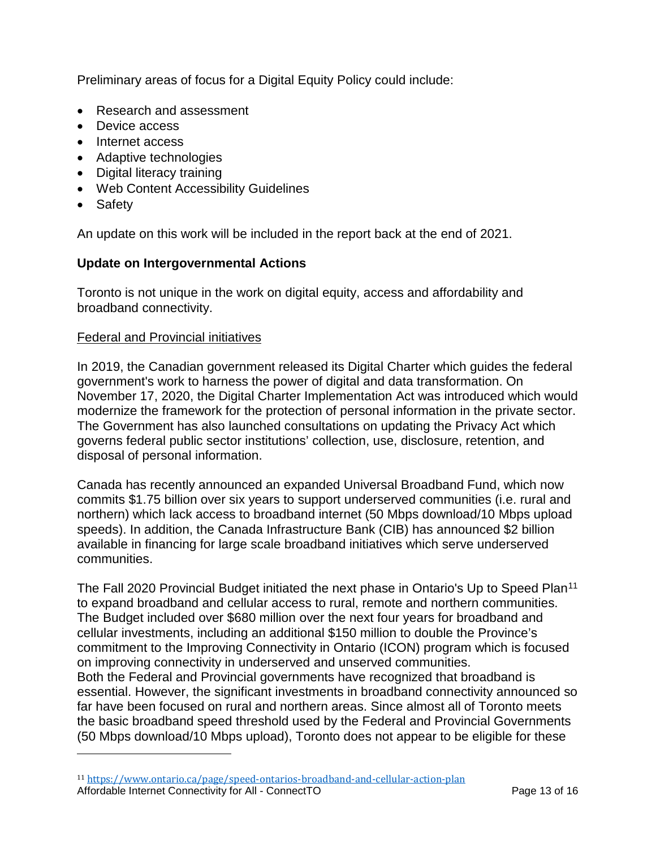Preliminary areas of focus for a Digital Equity Policy could include:

- Research and assessment
- Device access
- Internet access
- Adaptive technologies
- Digital literacy training
- Web Content Accessibility Guidelines
- Safety

 $\overline{a}$ 

An update on this work will be included in the report back at the end of 2021.

#### **Update on Intergovernmental Actions**

Toronto is not unique in the work on digital equity, access and affordability and broadband connectivity.

#### Federal and Provincial initiatives

In 2019, the Canadian government released its Digital Charter which guides the federal government's work to harness the power of digital and data transformation. On November 17, 2020, the Digital Charter Implementation Act was introduced which would modernize the framework for the protection of personal information in the private sector. The Government has also launched consultations on updating the Privacy Act which governs federal public sector institutions' collection, use, disclosure, retention, and disposal of personal information.

Canada has recently announced an expanded Universal Broadband Fund, which now commits \$1.75 billion over six years to support underserved communities (i.e. rural and northern) which lack access to broadband internet (50 Mbps download/10 Mbps upload speeds). In addition, the Canada Infrastructure Bank (CIB) has announced \$2 billion available in financing for large scale broadband initiatives which serve underserved communities.

The Fall 2020 Provincial Budget initiated the next phase in Ontario's Up to Speed Plan<sup>[11](#page-12-0)</sup> to expand broadband and cellular access to rural, remote and northern communities. The Budget included over \$680 million over the next four years for broadband and cellular investments, including an additional \$150 million to double the Province's commitment to the Improving Connectivity in Ontario (ICON) program which is focused on improving connectivity in underserved and unserved communities. Both the Federal and Provincial governments have recognized that broadband is essential. However, the significant investments in broadband connectivity announced so far have been focused on rural and northern areas. Since almost all of Toronto meets the basic broadband speed threshold used by the Federal and Provincial Governments (50 Mbps download/10 Mbps upload), Toronto does not appear to be eligible for these

<span id="page-12-0"></span>Affordable Internet Connectivity for All - ConnectTO Page 13 of 16 <sup>11</sup> <https://www.ontario.ca/page/speed-ontarios-broadband-and-cellular-action-plan>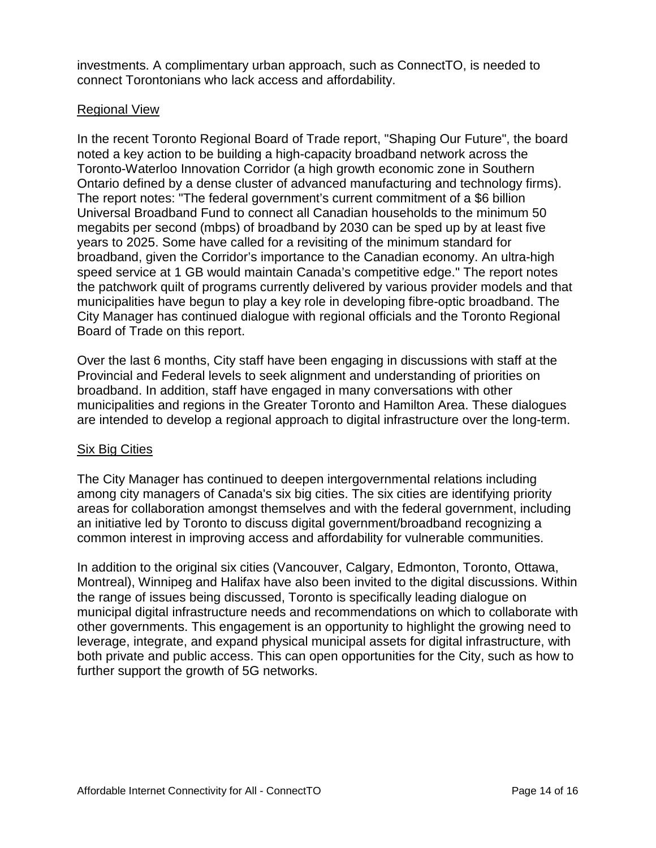investments. A complimentary urban approach, such as ConnectTO, is needed to connect Torontonians who lack access and affordability.

#### Regional View

In the recent Toronto Regional Board of Trade report, "Shaping Our Future", the board noted a key action to be building a high-capacity broadband network across the Toronto-Waterloo Innovation Corridor (a high growth economic zone in Southern Ontario defined by a dense cluster of advanced manufacturing and technology firms). The report notes: "The federal government's current commitment of a \$6 billion Universal Broadband Fund to connect all Canadian households to the minimum 50 megabits per second (mbps) of broadband by 2030 can be sped up by at least five years to 2025. Some have called for a revisiting of the minimum standard for broadband, given the Corridor's importance to the Canadian economy. An ultra-high speed service at 1 GB would maintain Canada's competitive edge." The report notes the patchwork quilt of programs currently delivered by various provider models and that municipalities have begun to play a key role in developing fibre-optic broadband. The City Manager has continued dialogue with regional officials and the Toronto Regional Board of Trade on this report.

Over the last 6 months, City staff have been engaging in discussions with staff at the Provincial and Federal levels to seek alignment and understanding of priorities on broadband. In addition, staff have engaged in many conversations with other municipalities and regions in the Greater Toronto and Hamilton Area. These dialogues are intended to develop a regional approach to digital infrastructure over the long-term.

#### Six Big Cities

The City Manager has continued to deepen intergovernmental relations including among city managers of Canada's six big cities. The six cities are identifying priority areas for collaboration amongst themselves and with the federal government, including an initiative led by Toronto to discuss digital government/broadband recognizing a common interest in improving access and affordability for vulnerable communities.

In addition to the original six cities (Vancouver, Calgary, Edmonton, Toronto, Ottawa, Montreal), Winnipeg and Halifax have also been invited to the digital discussions. Within the range of issues being discussed, Toronto is specifically leading dialogue on municipal digital infrastructure needs and recommendations on which to collaborate with other governments. This engagement is an opportunity to highlight the growing need to leverage, integrate, and expand physical municipal assets for digital infrastructure, with both private and public access. This can open opportunities for the City, such as how to further support the growth of 5G networks.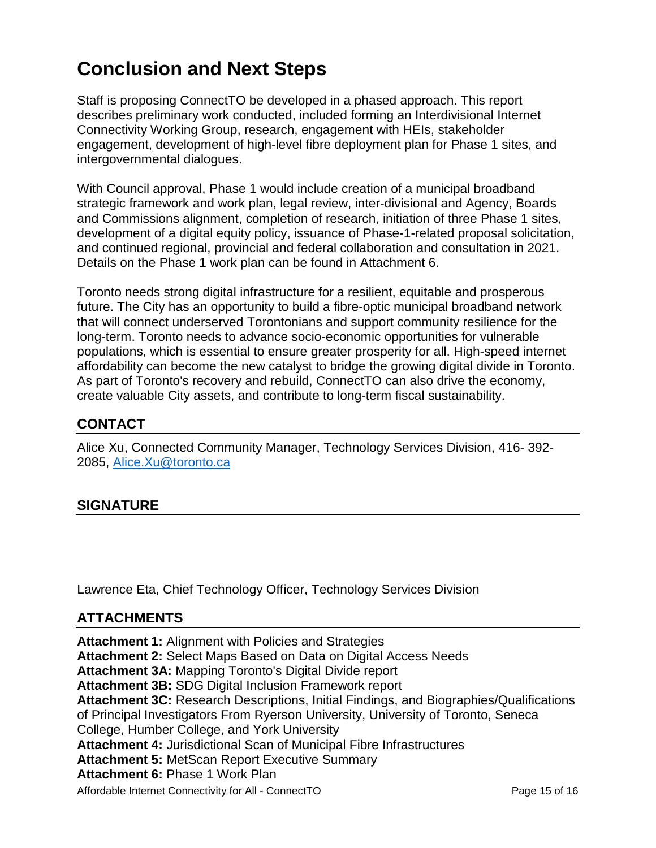# **Conclusion and Next Steps**

Staff is proposing ConnectTO be developed in a phased approach. This report describes preliminary work conducted, included forming an Interdivisional Internet Connectivity Working Group, research, engagement with HEIs, stakeholder engagement, development of high-level fibre deployment plan for Phase 1 sites, and intergovernmental dialogues.

With Council approval, Phase 1 would include creation of a municipal broadband strategic framework and work plan, legal review, inter-divisional and Agency, Boards and Commissions alignment, completion of research, initiation of three Phase 1 sites, development of a digital equity policy, issuance of Phase-1-related proposal solicitation, and continued regional, provincial and federal collaboration and consultation in 2021. Details on the Phase 1 work plan can be found in Attachment 6.

Toronto needs strong digital infrastructure for a resilient, equitable and prosperous future. The City has an opportunity to build a fibre-optic municipal broadband network that will connect underserved Torontonians and support community resilience for the long-term. Toronto needs to advance socio-economic opportunities for vulnerable populations, which is essential to ensure greater prosperity for all. High-speed internet affordability can become the new catalyst to bridge the growing digital divide in Toronto. As part of Toronto's recovery and rebuild, ConnectTO can also drive the economy, create valuable City assets, and contribute to long-term fiscal sustainability.

#### **CONTACT**

Alice Xu, Connected Community Manager, Technology Services Division, 416- 392- 2085, [Alice.Xu@toronto.ca](mailto:Alice.Xu@toronto.ca)

## **SIGNATURE**

Lawrence Eta, Chief Technology Officer, Technology Services Division

#### **ATTACHMENTS**

Affordable Internet Connectivity for All - ConnectTO Page 15 of 16 **Attachment 1:** Alignment with Policies and Strategies **Attachment 2:** Select Maps Based on Data on Digital Access Needs **Attachment 3A:** Mapping Toronto's Digital Divide report **Attachment 3B:** SDG Digital Inclusion Framework report **Attachment 3C:** Research Descriptions, Initial Findings, and Biographies/Qualifications of Principal Investigators From Ryerson University, University of Toronto, Seneca College, Humber College, and York University **Attachment 4:** Jurisdictional Scan of Municipal Fibre Infrastructures **Attachment 5:** MetScan Report Executive Summary **Attachment 6:** Phase 1 Work Plan